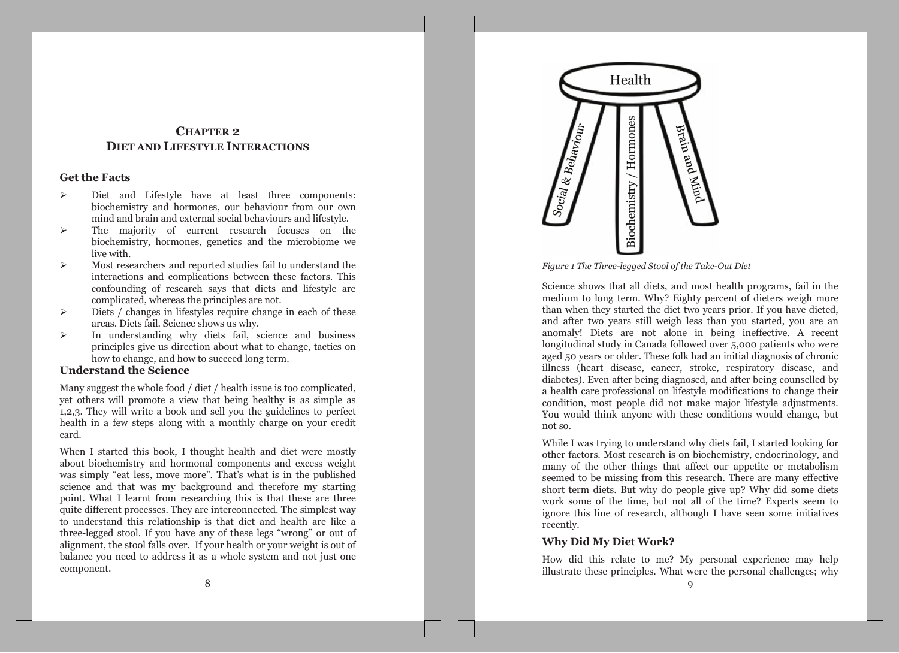# **CHAPTER 2 DIET AND LIFESTYLE INTERACTIONS**

## **Get the Facts**

- $\blacktriangleright$ Diet and Lifestyle have at least three components: biochemistry and hormones, our behaviour from our own mind and brain and external social behaviours and lifestyle.
- $\blacktriangleright$ The majority of current research focuses on the biochemistry, hormones, genetics and the microbiome we live with.
- $\blacktriangleright$ Most researchers and reported studies fail to understand the interactions and complications between these factors. This confounding of research says that diets and lifestyle are complicated, whereas the principles are not.
- Diets / changes in lifestyles require change in each of these  $\blacktriangleright$ areas. Diets fail. Science shows us why.
- In understanding why diets fail, science and business  $\blacktriangleright$ principles give us direction about what to change, tactics on how to change, and how to succeed long term.

## **Understand the Science**

Many suggest the whole food / diet / health issue is too complicated, vet others will promote a view that being healthy is as simple as 1,2,3. They will write a book and sell you the guidelines to perfect health in a few steps along with a monthly charge on your credit card.

When I started this book, I thought health and diet were mostly about biochemistry and hormonal components and excess weight was simply "eat less, move more". That's what is in the published science and that was my background and therefore my starting point. What I learnt from researching this is that these are three quite different processes. They are interconnected. The simplest way to understand this relationship is that diet and health are like a three-legged stool. If you have any of these legs "wrong" or out of alignment, the stool falls over. If your health or your weight is out of balance you need to address it as a whole system and not just one component.



Figure 1 The Three-legged Stool of the Take-Out Diet

Science shows that all diets, and most health programs, fail in the medium to long term. Why? Eighty percent of dieters weigh more than when they started the diet two years prior. If you have dieted, and after two years still weigh less than you started, you are an anomaly! Diets are not alone in being ineffective. A recent longitudinal study in Canada followed over 5,000 patients who were aged 50 years or older. These folk had an initial diagnosis of chronic illness (heart disease, cancer, stroke, respiratory disease, and diabetes). Even after being diagnosed, and after being counselled by a health care professional on lifestyle modifications to change their condition, most people did not make major lifestyle adjustments. You would think anyone with these conditions would change, but not so.

While I was trying to understand why diets fail, I started looking for other factors. Most research is on biochemistry, endocrinology, and many of the other things that affect our appetite or metabolism seemed to be missing from this research. There are many effective short term diets. But why do people give up? Why did some diets work some of the time, but not all of the time? Experts seem to ignore this line of research, although I have seen some initiatives recently.

## **Why Did My Diet Work?**

How did this relate to me? My personal experience may help illustrate these principles. What were the personal challenges; why